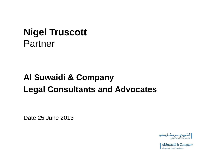### **Nigel Truscott** Partner

### **Al Suwaidi & Company Legal Consultants and Advocates**

Date 25 June 2013

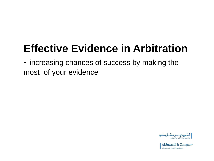# **Effective Evidence in Arbitration**

- increasing chances of success by making the most of your evidence

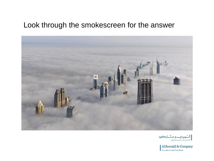#### Look through the smokescreen for the answer



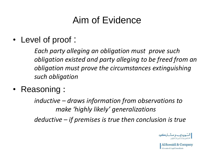## Aim of Evidence

#### • Level of proof :

*Each party alleging an obligation must prove such obligation existed and party alleging to be freed from an obligation must prove the circumstances extinguishing such obligation* 

• Reasoning :

*inductive – draws information from observations to make 'highly likely' generalizations* 

*deductive – if premises is true then conclusion is true*

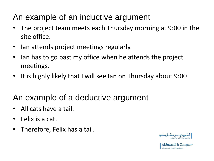#### An example of an inductive argument

- The project team meets each Thursday morning at 9:00 in the site office.
- Ian attends project meetings regularly.
- Ian has to go past my office when he attends the project meetings.
- It is highly likely that I will see Ian on Thursday about 9:00

#### An example of a deductive argument

- All cats have a tail.
- Felix is a cat.
- Therefore, Felix has a tail.

$$
ا_{\text{استیونیایی و میشی ارکوه≳⊐هن وستثارونتانیقِن
$$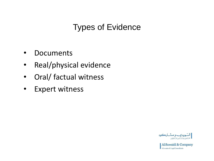#### Types of Evidence

- Documents
- Real/physical evidence
- Oral/ factual witness
- Expert witness

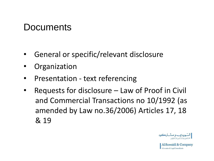#### **Documents**

- General or specific/relevant disclosure
- Organization
- Presentation text referencing
- Requests for disclosure Law of Proof in Civil and Commercial Transactions no 10/1992 (as amended by Law no.36/2006) Articles 17, 18 & 19

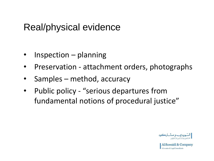#### Real/physical evidence

- $Inspection$  planning
- Preservation attachment orders, photographs
- Samples method, accuracy
- Public policy "serious departures from fundamental notions of procedural justice"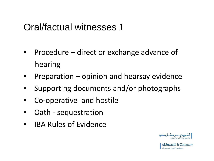#### Oral/factual witnesses 1

- Procedure direct or exchange advance of hearing
- Preparation opinion and hearsay evidence
- Supporting documents and/or photographs
- Co-operative and hostile
- Oath sequestration
- IBA Rules of Evidence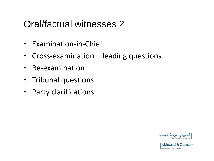### Oral/factual witnesses 2

- Examination-in-Chief
- Cross-examination leading questions
- Re-examination
- Tribunal questions
- Party clarifications

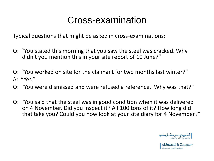### Cross-examination

Typical questions that might be asked in cross-examinations:

- Q: "You stated this morning that you saw the steel was cracked. Why didn't you mention this in your site report of 10 June?"
- Q: "You worked on site for the claimant for two months last winter?" A: "Yes."
- Q: "You were dismissed and were refused a reference. Why was that?"
- Q: "You said that the steel was in good condition when it was delivered on 4 November. Did you inspect it? All 100 tons of it? How long did that take you? Could you now look at your site diary for 4 November?"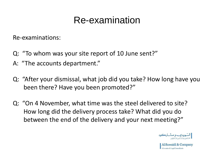### Re-examination

Re-examinations:

- Q: "To whom was your site report of 10 June sent?"
- A: "The accounts department."
- Q: "After your dismissal, what job did you take? How long have you been there? Have you been promoted?"
- Q: "On 4 November, what time was the steel delivered to site? How long did the delivery process take? What did you do between the end of the delivery and your next meeting?"

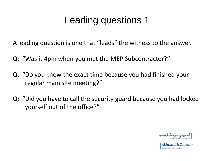### Leading questions 1

A leading question is one that "leads" the witness to the answer.

- Q: "Was it 4pm when you met the MEP Subcontractor?"
- Q: "Do you know the exact time because you had finished your regular main site meeting?"
- Q: "Did you have to call the security guard because you had locked yourself out of the office?"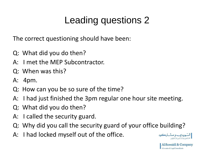## Leading questions 2

The correct questioning should have been:

- Q: What did you do then?
- A: I met the MEP Subcontractor.
- Q: When was this?
- A: 4pm.
- Q: How can you be so sure of the time?
- A: I had just finished the 3pm regular one hour site meeting.
- Q: What did you do then?
- A: I called the security guard.
- Q: Why did you call the security guard of your office building?
- A: I had locked myself out of the office.